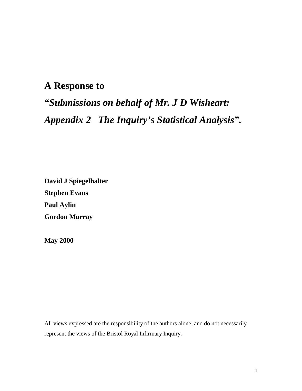## **A Response to**

# *"Submissions on behalf of Mr. J D Wisheart: Appendix 2 The Inquiry's Statistical Analysis".*

**David J Spiegelhalter Stephen Evans Paul Aylin Gordon Murray** 

**May 2000**

All views expressed are the responsibility of the authors alone, and do not necessarily represent the views of the Bristol Royal Infirmary Inquiry.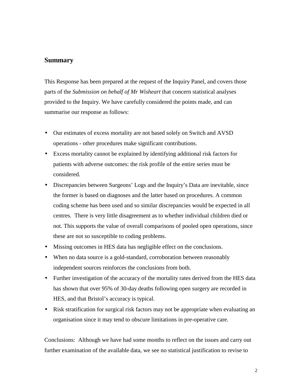#### **Summary**

This Response has been prepared at the request of the Inquiry Panel, and covers those parts of the *Submission on behalf of Mr Wisheart* that concern statistical analyses provided to the Inquiry. We have carefully considered the points made, and can summarise our response as follows:

- Our estimates of excess mortality are not based solely on Switch and AVSD operations - other procedures make significant contributions.
- Excess mortality cannot be explained by identifying additional risk factors for patients with adverse outcomes: the risk profile of the entire series must be considered.
- Discrepancies between Surgeons' Logs and the Inquiry's Data are inevitable, since the former is based on diagnoses and the latter based on procedures. A common coding scheme has been used and so similar discrepancies would be expected in all centres. There is very little disagreement as to whether individual children died or not. This supports the value of overall comparisons of pooled open operations, since these are not so susceptible to coding problems.
- Missing outcomes in HES data has negligible effect on the conclusions.
- When no data source is a gold-standard, corroboration between reasonably independent sources reinforces the conclusions from both.
- Further investigation of the accuracy of the mortality rates derived from the HES data has shown that over 95% of 30-day deaths following open surgery are recorded in HES, and that Bristol's accuracy is typical.
- Risk stratification for surgical risk factors may not be appropriate when evaluating an organisation since it may tend to obscure limitations in pre-operative care.

Conclusions: Although we have had some months to reflect on the issues and carry out further examination of the available data, we see no statistical justification to revise to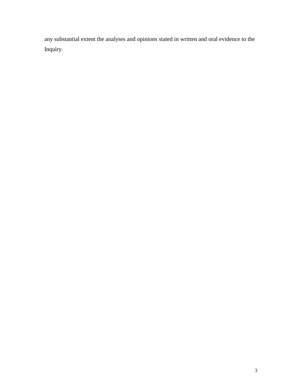any substantial extent the analyses and opinions stated in written and oral evidence to the Inquiry.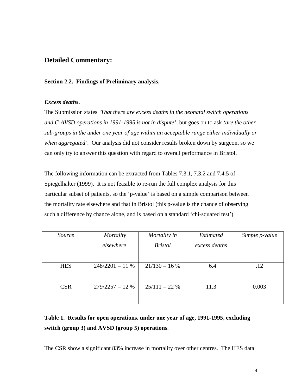### **Detailed Commentary:**

#### **Section 2.2. Findings of Preliminary analysis.**

#### *Excess deaths***.**

The Submission states *'That there are excess deaths in the neonatal switch operations and C-AVSD operations in 1991-1995 is not in dispute',* but goes on to ask *'are the other sub-groups in the under one year of age within an acceptable range either individually or when aggregated'*. Our analysis did not consider results broken down by surgeon, so we can only try to answer this question with regard to overall performance in Bristol.

The following information can be extracted from Tables 7.3.1, 7.3.2 and 7.4.5 of Spiegelhalter (1999). It is not feasible to re-run the full complex analysis for this particular subset of patients, so the 'p-value' is based on a simple comparison between the mortality rate elsewhere and that in Bristol (this p-value is the chance of observing such a difference by chance alone, and is based on a standard 'chi-squared test').

| Source     | Mortality        | Mortality in    | <b>Estimated</b> | Simple p-value |
|------------|------------------|-----------------|------------------|----------------|
|            | elsewhere        | <b>Bristol</b>  | excess deaths    |                |
|            |                  |                 |                  |                |
|            |                  |                 |                  |                |
| <b>HES</b> | $248/2201 = 11%$ | $21/130 = 16%$  | 6.4              | .12            |
|            |                  |                 |                  |                |
|            |                  |                 |                  |                |
| <b>CSR</b> | $279/2257 = 12%$ | $25/111 = 22\%$ | 11.3             | 0.003          |
|            |                  |                 |                  |                |
|            |                  |                 |                  |                |

## **Table 1. Results for open operations, under one year of age, 1991-1995, excluding switch (group 3) and AVSD (group 5) operations**.

The CSR show a significant 83% increase in mortality over other centres. The HES data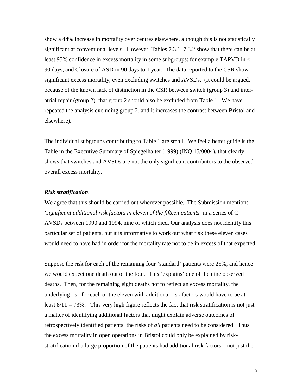show a 44% increase in mortality over centres elsewhere, although this is not statistically significant at conventional levels. However, Tables 7.3.1, 7.3.2 show that there can be at least 95% confidence in excess mortality in some subgroups: for example TAPVD in < 90 days, and Closure of ASD in 90 days to 1 year. The data reported to the CSR show significant excess mortality, even excluding switches and AVSDs. (It could be argued, because of the known lack of distinction in the CSR between switch (group 3) and interatrial repair (group 2), that group 2 should also be excluded from Table 1. We have repeated the analysis excluding group 2, and it increases the contrast between Bristol and elsewhere).

The individual subgroups contributing to Table 1 are small. We feel a better guide is the Table in the Executive Summary of Spiegelhalter (1999) (INQ 15/0004), that clearly shows that switches and AVSDs are not the only significant contributors to the observed overall excess mortality.

#### *Risk stratification*.

We agree that this should be carried out wherever possible. The Submission mentions *'significant additional risk factors in eleven of the fifteen patients'* in a series of C-AVSDs between 1990 and 1994, nine of which died. Our analysis does not identify this particular set of patients, but it is informative to work out what risk these eleven cases would need to have had in order for the mortality rate not to be in excess of that expected.

Suppose the risk for each of the remaining four 'standard' patients were 25%, and hence we would expect one death out of the four. This 'explains' one of the nine observed deaths. Then, for the remaining eight deaths not to reflect an excess mortality, the underlying risk for each of the eleven with additional risk factors would have to be at least  $8/11 = 73\%$ . This very high figure reflects the fact that risk stratification is not just a matter of identifying additional factors that might explain adverse outcomes of retrospectively identified patients: the risks of *all* patients need to be considered. Thus the excess mortality in open operations in Bristol could only be explained by riskstratification if a large proportion of the patients had additional risk factors – not just the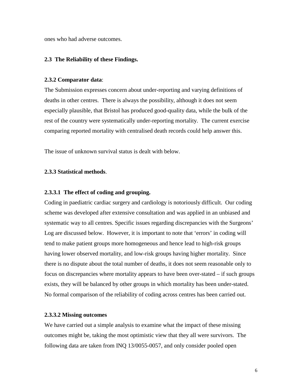ones who had adverse outcomes.

#### **2.3 The Reliability of these Findings.**

#### **2.3.2 Comparator data**:

The Submission expresses concern about under-reporting and varying definitions of deaths in other centres. There is always the possibility, although it does not seem especially plausible, that Bristol has produced good-quality data, while the bulk of the rest of the country were systematically under-reporting mortality. The current exercise comparing reported mortality with centralised death records could help answer this.

The issue of unknown survival status is dealt with below.

#### **2.3.3 Statistical methods**.

#### **2.3.3.1 The effect of coding and grouping.**

Coding in paediatric cardiac surgery and cardiology is notoriously difficult. Our coding scheme was developed after extensive consultation and was applied in an unbiased and systematic way to all centres. Specific issues regarding discrepancies with the Surgeons' Log are discussed below. However, it is important to note that 'errors' in coding will tend to make patient groups more homogeneous and hence lead to high-risk groups having lower observed mortality, and low-risk groups having higher mortality. Since there is no dispute about the total number of deaths, it does not seem reasonable only to focus on discrepancies where mortality appears to have been over-stated – if such groups exists, they will be balanced by other groups in which mortality has been under-stated. No formal comparison of the reliability of coding across centres has been carried out.

#### **2.3.3.2 Missing outcomes**

We have carried out a simple analysis to examine what the impact of these missing outcomes might be, taking the most optimistic view that they all were survivors. The following data are taken from INQ 13/0055-0057, and only consider pooled open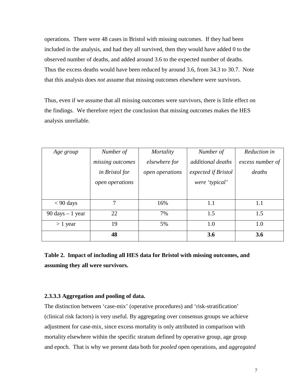operations. There were 48 cases in Bristol with missing outcomes. If they had been included in the analysis, and had they all survived, then they would have added 0 to the observed number of deaths, and added around 3.6 to the expected number of deaths. Thus the excess deaths would have been reduced by around 3.6, from 34.3 to 30.7. Note that this analysis does *not* assume that missing outcomes elsewhere were survivors.

Thus, even if we assume that all missing outcomes were survivors, there is little effect on the findings. We therefore reject the conclusion that missing outcomes makes the HES analysis unreliable.

| Age group                          | Number of        | Mortality       | Number of           | Reduction in     |
|------------------------------------|------------------|-----------------|---------------------|------------------|
|                                    | missing outcomes | elsewhere for   | additional deaths   | excess number of |
|                                    | in Bristol for   | open operations | expected if Bristol | deaths           |
|                                    | open operations  |                 | were 'typical'      |                  |
|                                    |                  |                 |                     |                  |
| $< 90$ days                        | 7                | 16%             | 1.1                 | 1.1              |
| $90 \text{ days} - 1 \text{ year}$ | 22               | 7%              | 1.5                 | 1.5              |
| $> 1$ year                         | 19               | 5%              | 1.0                 | 1.0              |
|                                    | 48               |                 | 3.6                 | 3.6              |

**Table 2. Impact of including all HES data for Bristol with missing outcomes, and assuming they all were survivors.** 

#### **2.3.3.3 Aggregation and pooling of data.**

The distinction between 'case-mix' (operative procedures) and 'risk-stratification' (clinical risk factors) is very useful. By aggregating over consensus groups we achieve adjustment for case-mix, since excess mortality is only attributed in comparison with mortality elsewhere within the specific stratum defined by operative group, age group and epoch. That is why we present data both for *pooled* open operations, and *aggregated*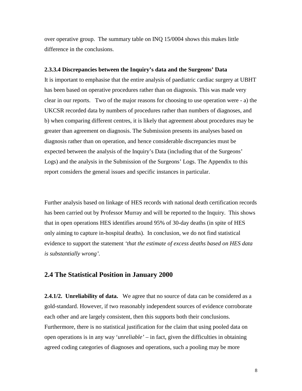over operative group. The summary table on INQ 15/0004 shows this makes little difference in the conclusions.

#### **2.3.3.4 Discrepancies between the Inquiry's data and the Surgeons' Data**

It is important to emphasise that the entire analysis of paediatric cardiac surgery at UBHT has been based on operative procedures rather than on diagnosis. This was made very clear in our reports. Two of the major reasons for choosing to use operation were - a) the UKCSR recorded data by numbers of procedures rather than numbers of diagnoses, and b) when comparing different centres, it is likely that agreement about procedures may be greater than agreement on diagnosis. The Submission presents its analyses based on diagnosis rather than on operation, and hence considerable discrepancies must be expected between the analysis of the Inquiry's Data (including that of the Surgeons' Logs) and the analysis in the Submission of the Surgeons' Logs. The Appendix to this report considers the general issues and specific instances in particular.

Further analysis based on linkage of HES records with national death certification records has been carried out by Professor Murray and will be reported to the Inquiry. This shows that in open operations HES identifies around 95% of 30-day deaths (in spite of HES only aiming to capture in-hospital deaths). In conclusion, we do not find statistical evidence to support the statement *'that the estimate of excess deaths based on HES data is substantially wrong'.* 

### **2.4 The Statistical Position in January 2000**

**2.4.1/2. Unreliability of data.** We agree that no source of data can be considered as a gold-standard. However, if two reasonably independent sources of evidence corroborate each other and are largely consistent, then this supports both their conclusions. Furthermore, there is no statistical justification for the claim that using pooled data on open operations is in any way '*unreliable'* – in fact, given the difficulties in obtaining agreed coding categories of diagnoses and operations, such a pooling may be more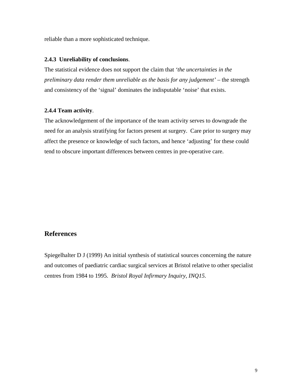reliable than a more sophisticated technique.

#### **2.4.3 Unreliability of conclusions**.

The statistical evidence does not support the claim that *'the uncertainties in the preliminary data render them unreliable as the basis for any judgement'* – the strength and consistency of the 'signal' dominates the indisputable 'noise' that exists.

#### **2.4.4 Team activity**.

The acknowledgement of the importance of the team activity serves to downgrade the need for an analysis stratifying for factors present at surgery. Care prior to surgery may affect the presence or knowledge of such factors, and hence 'adjusting' for these could tend to obscure important differences between centres in pre-operative care.

#### **References**

Spiegelhalter D J (1999) An initial synthesis of statistical sources concerning the nature and outcomes of paediatric cardiac surgical services at Bristol relative to other specialist centres from 1984 to 1995. *Bristol Royal Infirmary Inquiry, INQ15.*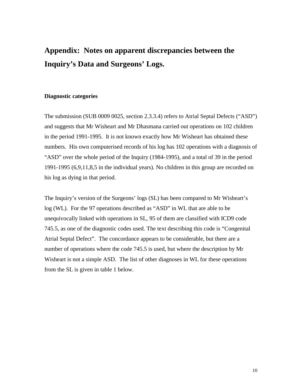## **Appendix: Notes on apparent discrepancies between the Inquiry's Data and Surgeons' Logs.**

#### **Diagnostic categories**

The submission (SUB 0009 0025, section 2.3.3.4) refers to Atrial Septal Defects ("ASD") and suggests that Mr Wisheart and Mr Dhasmana carried out operations on 102 children in the period 1991-1995. It is not known exactly how Mr Wisheart has obtained these numbers. His own computerised records of his log has 102 operations with a diagnosis of "ASD" over the whole period of the Inquiry (1984-1995), and a total of 39 in the period 1991-1995 (6,9,11,8,5 in the individual years). No children in this group are recorded on his log as dying in that period.

The Inquiry's version of the Surgeons' logs (SL) has been compared to Mr Wisheart's log (WL). For the 97 operations described as "ASD" in WL that are able to be unequivocally linked with operations in SL, 95 of them are classified with ICD9 code 745.5, as one of the diagnostic codes used. The text describing this code is "Congenital Atrial Septal Defect". The concordance appears to be considerable, but there are a number of operations where the code 745.5 is used, but where the description by Mr Wisheart is not a simple ASD. The list of other diagnoses in WL for these operations from the SL is given in table 1 below.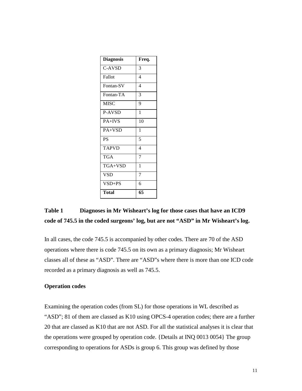| <b>Diagnosis</b> | Freq.          |
|------------------|----------------|
| C-AVSD           | 3              |
| Fallot           | 4              |
| Fontan-SV        | 4              |
| Fontan-TA        | 3              |
| <b>MISC</b>      | 9              |
| P-AVSD           | 1              |
| PA+IVS           | 10             |
| PA+VSD           | 1              |
| <b>PS</b>        | 5              |
| <b>TAPVD</b>     | 4              |
| <b>TGA</b>       | $\overline{7}$ |
| TGA+VSD          | $\mathbf{1}$   |
| <b>VSD</b>       | 7              |
| $VSD+PS$         | 6              |
| Total            | 65             |

### **Table 1 Diagnoses in Mr Wisheart's log for those cases that have an ICD9 code of 745.5 in the coded surgeons' log, but are not "ASD" in Mr Wisheart's log.**

In all cases, the code 745.5 is accompanied by other codes. There are 70 of the ASD operations where there is code 745.5 on its own as a primary diagnosis; Mr Wisheart classes all of these as "ASD". There are "ASD"s where there is more than one ICD code recorded as a primary diagnosis as well as 745.5.

#### **Operation codes**

Examining the operation codes (from SL) for those operations in WL described as "ASD"; 81 of them are classed as K10 using OPCS-4 operation codes; there are a further 20 that are classed as K10 that are not ASD. For all the statistical analyses it is clear that the operations were grouped by operation code. {Details at INQ 0013 0054} The group corresponding to operations for ASDs is group 6. This group was defined by those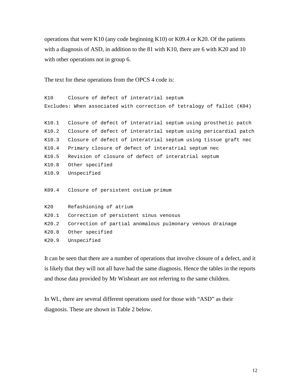operations that were K10 (any code beginning K10) or K09.4 or K20. Of the patients with a diagnosis of ASD, in addition to the 81 with K10, there are 6 with K20 and 10 with other operations not in group 6.

The text for these operations from the OPCS 4 code is:

```
K10 Closure of defect of interatrial septum
Excludes: When associated with correction of tetralogy of fallot (K04)
K10.1 Closure of defect of interatrial septum using prosthetic patch
K10.2 Closure of defect of interatrial septum using pericardial patch
K10.3 Closure of defect of interatrial septum using tissue graft nec
K10.4 Primary closure of defect of interatrial septum nec
K10.5 Revision of closure of defect of interatrial septum
K10.8 Other specified
K10.9 Unspecified
K09.4 Closure of persistent ostium primum
K20 Refashioning of atrium
K20.1 Correction of persistent sinus venosus
K20.2 Correction of partial anomalous pulmonary venous drainage
K20.8 Other specified
K20.9 Unspecified
```
It can be seen that there are a number of operations that involve closure of a defect, and it is likely that they will not all have had the same diagnosis. Hence the tables in the reports and those data provided by Mr Wisheart are not referring to the same children.

In WL, there are several different operations used for those with "ASD" as their diagnosis. These are shown in Table 2 below.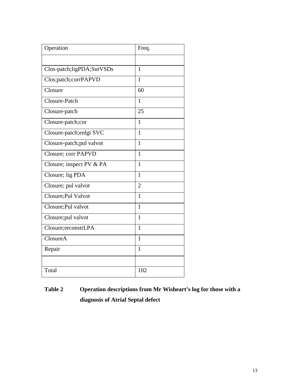| Operation                  | Freq.          |
|----------------------------|----------------|
|                            |                |
| Clos-patch;ligPDA;SutVSDs  | $\mathbf{1}$   |
| Clos;patch;corrPAPVD       | 1              |
| Closure                    | 60             |
| Closure-Patch              | $\mathbf{1}$   |
| Closure-patch              | 25             |
| Closure-patch;cor          | 1              |
| Closure-patch; enlgt SVC   | $\mathbf{1}$   |
| Closure-patch;pul valvot   | $\mathbf{1}$   |
| <b>Closure; corr PAPVD</b> | $\mathbf{1}$   |
| Closure; inspect PV & PA   | $\mathbf{1}$   |
| Closure; lig PDA           | $\mathbf{1}$   |
| Closure; pul valvot        | $\overline{2}$ |
| Closure; Pul Valvot        | 1              |
| Closure; Pul valvot        | $\mathbf{1}$   |
| Closure; pul valvot        | $\mathbf{1}$   |
| Closure; reconstrLPA       | $\mathbf{1}$   |
| ClosureA                   | 1              |
| Repair                     | 1              |
|                            |                |
| Total                      | 102            |

## **Table 2 Operation descriptions from Mr Wisheart's log for those with a diagnosis of Atrial Septal defect**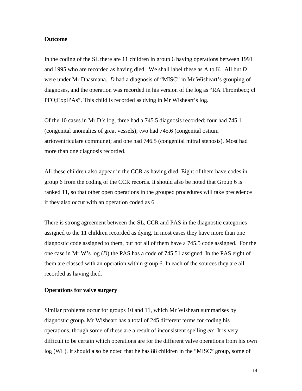#### **Outcome**

In the coding of the SL there are 11 children in group 6 having operations between 1991 and 1995 who are recorded as having died. We shall label these as A to K. All but *D* were under Mr Dhasmana. *D* had a diagnosis of "MISC" in Mr Wisheart's grouping of diagnoses, and the operation was recorded in his version of the log as "RA Thrombect; cl PFO;ExplPAs". This child is recorded as dying in Mr Wisheart's log.

Of the 10 cases in Mr D's log, three had a 745.5 diagnosis recorded; four had 745.1 (congenital anomalies of great vessels); two had 745.6 (congenital ostium atrioventriculare commune); and one had 746.5 (congenital mitral stenosis). Most had more than one diagnosis recorded.

All these children also appear in the CCR as having died. Eight of them have codes in group 6 from the coding of the CCR records. It should also be noted that Group 6 is ranked 11, so that other open operations in the grouped procedures will take precedence if they also occur with an operation coded as 6.

There is strong agreement between the SL, CCR and PAS in the diagnostic categories assigned to the 11 children recorded as dying. In most cases they have more than one diagnostic code assigned to them, but not all of them have a 745.5 code assigned. For the one case in Mr W's log (*D*) the PAS has a code of 745.51 assigned. In the PAS eight of them are classed with an operation within group 6. In each of the sources they are all recorded as having died.

#### **Operations for valve surgery**

Similar problems occur for groups 10 and 11, which Mr Wisheart summarises by diagnostic group. Mr Wisheart has a total of 245 different terms for coding his operations, though some of these are a result of inconsistent spelling *etc*. It is very difficult to be certain which operations are for the different valve operations from his own log (WL). It should also be noted that he has 88 children in the "MISC" group, some of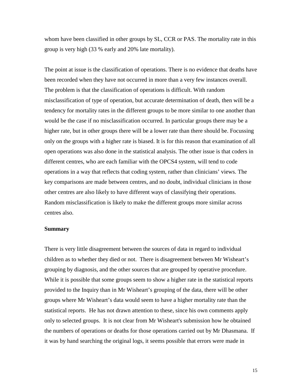whom have been classified in other groups by SL, CCR or PAS. The mortality rate in this group is very high (33 % early and 20% late mortality).

The point at issue is the classification of operations. There is no evidence that deaths have been recorded when they have not occurred in more than a very few instances overall. The problem is that the classification of operations is difficult. With random misclassification of type of operation, but accurate determination of death, then will be a tendency for mortality rates in the different groups to be more similar to one another than would be the case if no misclassification occurred. In particular groups there may be a higher rate, but in other groups there will be a lower rate than there should be. Focussing only on the groups with a higher rate is biased. It is for this reason that examination of all open operations was also done in the statistical analysis. The other issue is that coders in different centres, who are each familiar with the OPCS4 system, will tend to code operations in a way that reflects that coding system, rather than clinicians' views. The key comparisons are made between centres, and no doubt, individual clinicians in those other centres are also likely to have different ways of classifying their operations. Random misclassification is likely to make the different groups more similar across centres also.

#### **Summary**

There is very little disagreement between the sources of data in regard to individual children as to whether they died or not. There is disagreement between Mr Wisheart's grouping by diagnosis, and the other sources that are grouped by operative procedure. While it is possible that some groups seem to show a higher rate in the statistical reports provided to the Inquiry than in Mr Wisheart's grouping of the data, there will be other groups where Mr Wisheart's data would seem to have a higher mortality rate than the statistical reports. He has not drawn attention to these, since his own comments apply only to selected groups. It is not clear from Mr Wisheart's submission how he obtained the numbers of operations or deaths for those operations carried out by Mr Dhasmana. If it was by hand searching the original logs, it seems possible that errors were made in